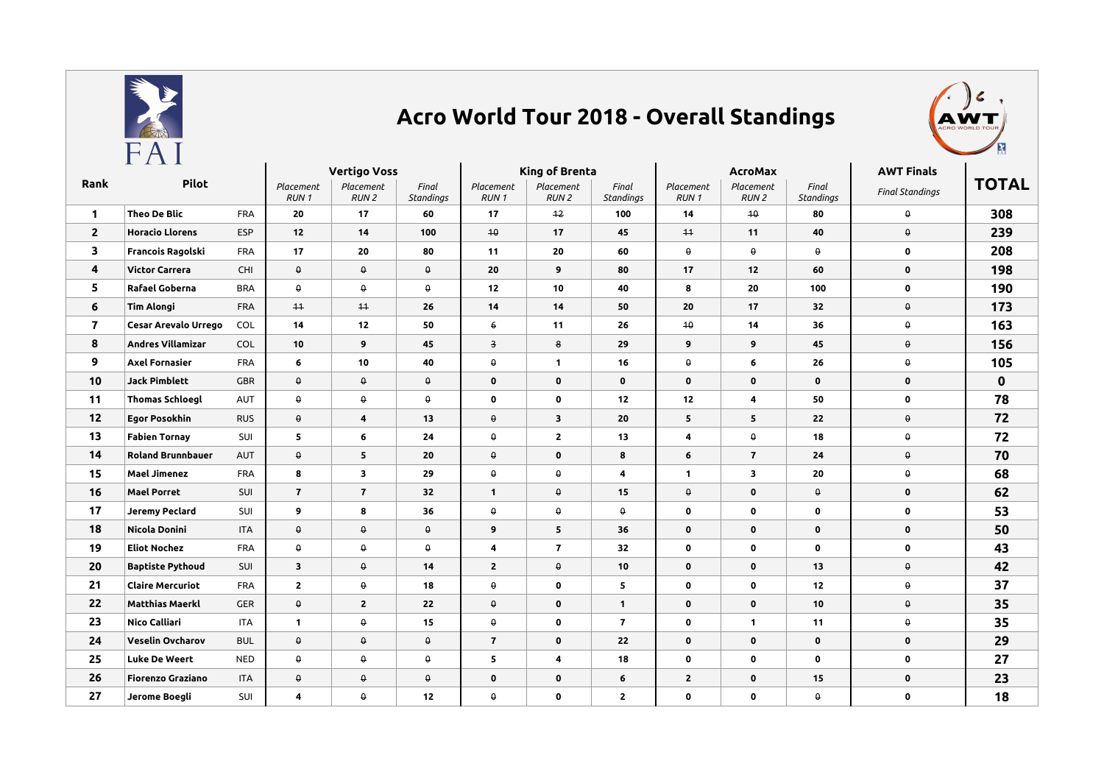

## **Acro World Tour 2018 - Overall Standings**



| <b>Pilot</b><br>Rank |                          | <b>Vertigo Voss</b> |                          |                               | King of Brenta     |                          |                               | <b>AcroMax</b>     |                          |                               | <b>AWT Finals</b>  |                        |              |
|----------------------|--------------------------|---------------------|--------------------------|-------------------------------|--------------------|--------------------------|-------------------------------|--------------------|--------------------------|-------------------------------|--------------------|------------------------|--------------|
|                      |                          |                     | Placement<br><b>RUN1</b> | Placement<br>RUN <sub>2</sub> | Final<br>Standings | Placement<br><b>RUN1</b> | Placement<br>RUN <sub>2</sub> | Final<br>Standings | Placement<br><b>RUN1</b> | Placement<br>RUN <sub>2</sub> | Final<br>Standings | <b>Final Standings</b> | <b>TOTAL</b> |
| $\mathbf{1}$         | <b>Theo De Blic</b>      | <b>FRA</b>          | 20                       | 17                            | 60                 | 17                       | $+2$                          | 100                | 14                       | 40                            | 80                 | $\theta$               | 308          |
| $\mathbf{2}$         | <b>Horacio Llorens</b>   | <b>ESP</b>          | 12                       | 14                            | 100                | 40                       | 17                            | 45                 | $+1$                     | 11                            | 40                 | $\pmb{\Theta}$         | 239          |
| 3                    | Francois Ragolski        | <b>FRA</b>          | 17                       | 20                            | 80                 | 11                       | 20                            | 60                 | 0                        | $\pmb{\Theta}$                | $\pmb{\Theta}$     | $\pmb{0}$              | 208          |
| 4                    | <b>Victor Carrera</b>    | <b>CHI</b>          | $\pmb{\Theta}$           | $\pmb{\Theta}$                | $\pmb{\Theta}$     | 20                       | 9                             | 80                 | 17                       | 12                            | 60                 | $\mathbf 0$            | 198          |
| 5                    | Rafael Goberna           | <b>BRA</b>          | θ.                       | $\theta$                      | $\theta$           | 12                       | 10                            | 40                 | 8                        | 20                            | 100                | $\mathbf 0$            | 190          |
| 6                    | <b>Tim Alongi</b>        | <b>FRA</b>          | $+1$                     | $+1$                          | 26                 | 14                       | 14                            | 50                 | 20                       | 17                            | 32                 | $\pmb{\Theta}$         | 173          |
| $\overline{7}$       | Cesar Arevalo Urrego     | COL                 | 14                       | 12                            | 50                 | $6 \theta$               | 11                            | 26                 | $+0$                     | 14                            | 36                 | $\pmb{\Theta}$         | 163          |
| 8                    | <b>Andres Villamizar</b> | <b>COL</b>          | 10                       | 9                             | 45                 | $\overline{\mathbf{3}}$  | 8                             | 29                 | 9                        | 9                             | 45                 | $\pmb{\Theta}$         | 156          |
| 9                    | <b>Axel Fornasier</b>    | <b>FRA</b>          | 6                        | 10                            | 40                 | $\theta$                 | $\mathbf{1}$                  | 16                 | $\theta$                 | 6                             | 26                 | $\theta$               | 105          |
| 10                   | <b>Jack Pimblett</b>     | GBR                 | $\theta$                 | $\pmb{\Theta}$                | $\pmb{\uprho}$     | $\mathbf 0$              | $\mathbf 0$                   | $\mathbf 0$        | 0                        | $\mathbf 0$                   | $\mathbf 0$        | $\mathbf 0$            | $\mathbf 0$  |
| 11                   | <b>Thomas Schloegl</b>   | AUT                 | $\pmb{\Theta}$           | $\pmb{\Theta}$                | $\pmb{\Theta}$     | $\mathbf 0$              | $\mathbf 0$                   | 12                 | 12                       | 4                             | 50                 | $\mathbf 0$            | 78           |
| 12                   | <b>Egor Posokhin</b>     | <b>RUS</b>          | $\theta$                 | 4                             | 13                 | $\pmb{\uptheta}$         | 3                             | 20                 | 5                        | 5                             | 22                 | $\pmb{\Theta}$         | 72           |
| 13                   | <b>Fabien Tornay</b>     | SUI                 | 5                        | 6                             | 24                 | $\theta$                 | $\mathbf{2}$                  | 13                 | 4                        | $\theta$                      | 18                 | $\theta$               | 72           |
| 14                   | <b>Roland Brunnbauer</b> | <b>AUT</b>          | 0                        | 5                             | 20                 | $\pmb{\Theta}$           | $\mathbf 0$                   | 8                  | 6                        | $\overline{7}$                | 24                 | $\pmb{\Theta}$         | 70           |
| 15                   | <b>Mael Jimenez</b>      | <b>FRA</b>          | 8                        | $\overline{\mathbf{3}}$       | 29                 | $\pmb{\uprho}$           | $\pmb{\Theta}$                | 4                  | $\mathbf{1}$             | 3                             | 20                 | $\Theta$               | 68           |
| 16                   | <b>Mael Porret</b>       | SUI                 | $\overline{7}$           | $\overline{7}$                | 32                 | $\mathbf{1}$             | $\pmb{\Theta}$                | 15                 | $\pmb{\Theta}$           | $\mathbf 0$                   | $\theta$           | $\mathbf 0$            | 62           |
| 17                   | <b>Jeremy Peclard</b>    | SUI                 | 9                        | 8                             | 36                 | $\pmb{\Theta}$           | $\pmb{\Theta}$                | $\pmb{\Theta}$     | $\mathbf 0$              | $\mathbf 0$                   | $\mathbf 0$        | $\mathbf 0$            | 53           |
| 18                   | Nicola Donini            | <b>ITA</b>          | $\theta$                 | $\pmb{\Theta}$                | $\pmb{\Theta}$     | 9                        | 5                             | 36                 | $\mathbf 0$              | $\mathbf 0$                   | $\mathbf 0$        | $\mathbf 0$            | 50           |
| 19                   | <b>Eliot Nochez</b>      | <b>FRA</b>          | 0                        | $\theta$                      | $\pmb{\Theta}$     | 4                        | $\overline{7}$                | 32                 | 0                        | $\mathbf 0$                   | $\mathbf 0$        | $\mathbf 0$            | 43           |
| 20                   | <b>Baptiste Pythoud</b>  | SUI                 | $\overline{\mathbf{3}}$  | $\pmb{\Theta}$                | 14                 | $\mathbf{2}$             | $\pmb{\uprho}$                | 10                 | $\mathbf 0$              | $\mathbf 0$                   | 13                 | $\pmb{\Theta}$         | 42           |
| 21                   | <b>Claire Mercuriot</b>  | <b>FRA</b>          | $\mathbf{2}$             | $\pmb{\Theta}$                | 18                 | $\pmb{\Theta}$           | 0                             | 5                  | 0                        | $\mathbf 0$                   | 12                 | $\pmb{\Theta}$         | 37           |
| 22                   | <b>Matthias Maerkl</b>   | GER                 | $\theta$                 | $\mathbf{2}$                  | 22                 | $\Theta$                 | $\mathbf 0$                   | $\mathbf{1}$       | 0                        | $\mathbf 0$                   | 10                 | $\pmb{\Theta}$         | 35           |
| 23                   | Nico Calliari            | <b>ITA</b>          | $\mathbf{1}$             | $\theta$                      | 15                 | $\theta$                 | 0                             | $\overline{7}$     | 0                        | $\mathbf{1}$                  | 11                 | $\theta$               | 35           |
| 24                   | <b>Veselin Ovcharov</b>  | <b>BUL</b>          | $\theta$                 | $\theta$                      | $\pmb{\Theta}$     | $\overline{7}$           | $\mathbf 0$                   | 22                 | 0                        | $\mathbf 0$                   | $\mathbf 0$        | $\mathbf 0$            | 29           |
| 25                   | <b>Luke De Weert</b>     | <b>NED</b>          | $\theta$                 | $\pmb{\Theta}$                | $\pmb{\Theta}$     | 5                        | 4                             | 18                 | $\mathbf 0$              | $\mathbf 0$                   | $\mathbf 0$        | $\mathbf 0$            | 27           |
| 26                   | <b>Fiorenzo Graziano</b> | ITA                 | $\Theta$                 | $\Theta$                      | $\pmb{\Theta}$     | $\mathbf 0$              | $\pmb{0}$                     | 6                  | $\mathbf{2}$             | $\mathbf 0$                   | 15                 | $\mathbf 0$            | 23           |
| 27                   | Jerome Boegli            | SUI                 | 4                        | 0                             | 12                 | $\pmb{\mathsf{\Theta}}$  | $\mathbf 0$                   | $\mathbf{2}$       | 0                        | 0                             | $\pmb{\Theta}$     | $\mathbf 0$            | 18           |